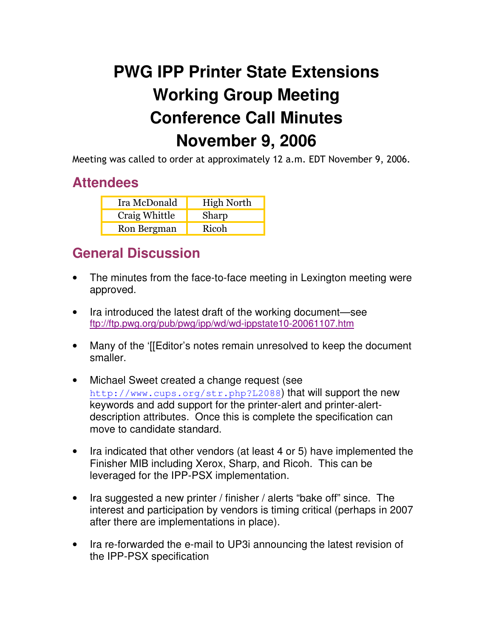## **PWG IPP Printer State Extensions Working Group Meeting Conference Call Minutes November 9, 2006**

Meeting was called to order at approximately 12 a.m. EDT November 9, 2006.

## **Attendees**

| Ira McDonald  | <b>High North</b> |
|---------------|-------------------|
| Craig Whittle | Sharp             |
| Ron Bergman   | Ricoh             |

## **General Discussion**

- The minutes from the face-to-face meeting in Lexington meeting were approved.
- Ira introduced the latest draft of the working document—see ftp://ftp.pwg.org/pub/pwg/ipp/wd/wd-ippstate10-20061107.htm
- Many of the '[[Editor's notes remain unresolved to keep the document smaller.
- Michael Sweet created a change request (see http://www.cups.org/str.php?L2088) that will support the new keywords and add support for the printer-alert and printer-alertdescription attributes. Once this is complete the specification can move to candidate standard.
- Ira indicated that other vendors (at least 4 or 5) have implemented the Finisher MIB including Xerox, Sharp, and Ricoh. This can be leveraged for the IPP-PSX implementation.
- Ira suggested a new printer / finisher / alerts "bake off" since. The interest and participation by vendors is timing critical (perhaps in 2007 after there are implementations in place).
- Ira re-forwarded the e-mail to UP3i announcing the latest revision of the IPP-PSX specification